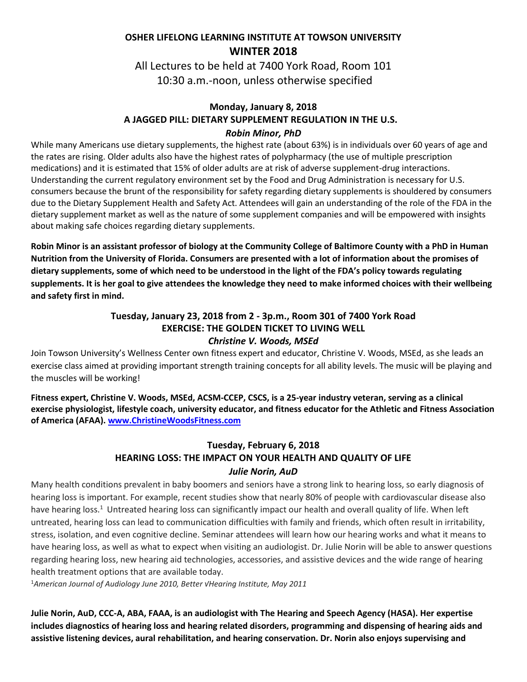## **OSHER LIFELONG LEARNING INSTITUTE AT TOWSON UNIVERSITY WINTER 2018**

All Lectures to be held at 7400 York Road, Room 101 10:30 a.m.-noon, unless otherwise specified

#### **Monday, January 8, 2018 A JAGGED PILL: DIETARY SUPPLEMENT REGULATION IN THE U.S.** *Robin Minor, PhD*

While many Americans use dietary supplements, the highest rate (about 63%) is in individuals over 60 years of age and the rates are rising. Older adults also have the highest rates of polypharmacy (the use of multiple prescription medications) and it is estimated that 15% of older adults are at risk of adverse supplement-drug interactions. Understanding the current regulatory environment set by the Food and Drug Administration is necessary for U.S. consumers because the brunt of the responsibility for safety regarding dietary supplements is shouldered by consumers due to the Dietary Supplement Health and Safety Act. Attendees will gain an understanding of the role of the FDA in the dietary supplement market as well as the nature of some supplement companies and will be empowered with insights about making safe choices regarding dietary supplements.

**Robin Minor is an assistant professor of biology at the Community College of Baltimore County with a PhD in Human Nutrition from the University of Florida. Consumers are presented with a lot of information about the promises of dietary supplements, some of which need to be understood in the light of the FDA's policy towards regulating supplements. It is her goal to give attendees the knowledge they need to make informed choices with their wellbeing and safety first in mind.** 

#### **Tuesday, January 23, 2018 from 2 - 3p.m., Room 301 of 7400 York Road EXERCISE: THE GOLDEN TICKET TO LIVING WELL** *Christine V. Woods, MSEd*

Join Towson University's Wellness Center own fitness expert and educator, Christine V. Woods, MSEd, as she leads an exercise class aimed at providing important strength training concepts for all ability levels. The music will be playing and the muscles will be working!

**Fitness expert, Christine V. Woods, MSEd, ACSM-CCEP, CSCS, is a 25-year industry veteran, serving as a clinical exercise physiologist, lifestyle coach, university educator, and fitness educator for the Athletic and Fitness Association of America (AFAA). [www.ChristineWoodsFitness.com](http://www.christinewoodsfitness.com/)**

### **Tuesday, February 6, 2018 HEARING LOSS: THE IMPACT ON YOUR HEALTH AND QUALITY OF LIFE** *Julie Norin, AuD*

Many health conditions prevalent in baby boomers and seniors have a strong link to hearing loss, so early diagnosis of hearing loss is important. For example, recent studies show that nearly 80% of people with cardiovascular disease also have hearing loss.<sup>1</sup> Untreated hearing loss can significantly impact our health and overall quality of life. When left untreated, hearing loss can lead to communication difficulties with family and friends, which often result in irritability, stress, isolation, and even cognitive decline. Seminar attendees will learn how our hearing works and what it means to have hearing loss, as well as what to expect when visiting an audiologist. Dr. Julie Norin will be able to answer questions regarding hearing loss, new hearing aid technologies, accessories, and assistive devices and the wide range of hearing health treatment options that are available today.

<sup>1</sup>*American Journal of Audiology June 2010, Better √Hearing Institute, May 2011*

**Julie Norin, AuD, CCC-A, ABA, FAAA, is an audiologist with The Hearing and Speech Agency (HASA). Her expertise includes diagnostics of hearing loss and hearing related disorders, programming and dispensing of hearing aids and assistive listening devices, aural rehabilitation, and hearing conservation. Dr. Norin also enjoys supervising and**